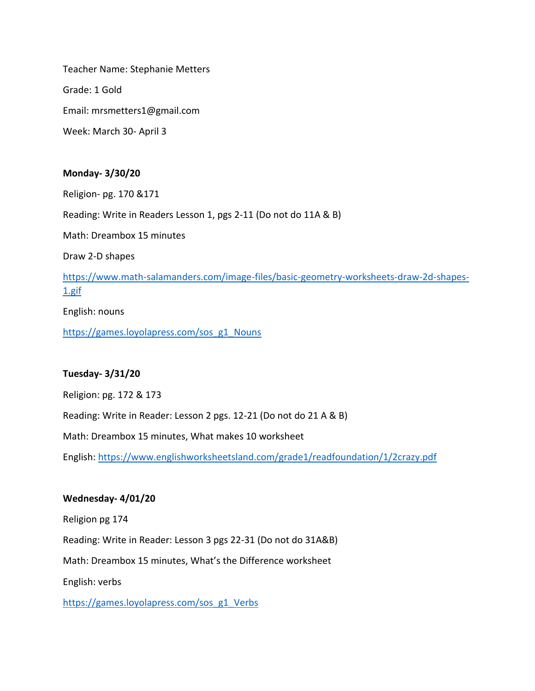Teacher Name: Stephanie Metters Grade: 1 Gold Email: mrsmetters1@gmail.com Week: March 30- April 3

### **Monday- 3/30/20**

Religion- pg. 170 &171

Reading: Write in Readers Lesson 1, pgs 2-11 (Do not do 11A & B)

Math: Dreambox 15 minutes

Draw 2-D shapes

[https://www.math-salamanders.com/image-files/basic-geometry-worksheets-draw-2d-shapes-](https://www.math-salamanders.com/image-files/basic-geometry-worksheets-draw-2d-shapes-1.gif)[1.gif](https://www.math-salamanders.com/image-files/basic-geometry-worksheets-draw-2d-shapes-1.gif)

English: nouns

[https://games.loyolapress.com/sos\\_g1\\_Nouns](https://games.loyolapress.com/sos_g1_Nouns)

#### **Tuesday- 3/31/20**

Religion: pg. 172 & 173

Reading: Write in Reader: Lesson 2 pgs. 12-21 (Do not do 21 A & B)

Math: Dreambox 15 minutes, What makes 10 worksheet

English:<https://www.englishworksheetsland.com/grade1/readfoundation/1/2crazy.pdf>

#### **Wednesday- 4/01/20**

Religion pg 174

Reading: Write in Reader: Lesson 3 pgs 22-31 (Do not do 31A&B)

Math: Dreambox 15 minutes, What's the Difference worksheet

English: verbs

[https://games.loyolapress.com/sos\\_g1\\_Verbs](https://games.loyolapress.com/sos_g1_Verbs)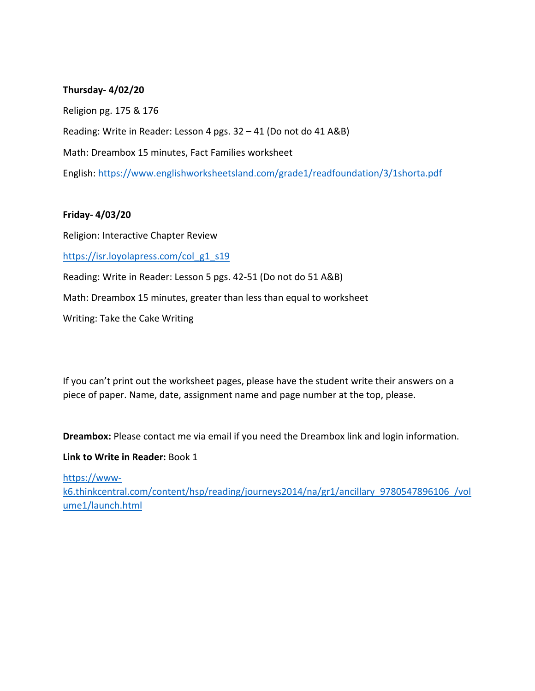### **Thursday- 4/02/20**

Religion pg. 175 & 176 Reading: Write in Reader: Lesson 4 pgs. 32 – 41 (Do not do 41 A&B) Math: Dreambox 15 minutes, Fact Families worksheet English:<https://www.englishworksheetsland.com/grade1/readfoundation/3/1shorta.pdf>

#### **Friday- 4/03/20**

Religion: Interactive Chapter Review

[https://isr.loyolapress.com/col\\_g1\\_s19](https://isr.loyolapress.com/col_g1_s19)

Reading: Write in Reader: Lesson 5 pgs. 42-51 (Do not do 51 A&B)

Math: Dreambox 15 minutes, greater than less than equal to worksheet

Writing: Take the Cake Writing

If you can't print out the worksheet pages, please have the student write their answers on a piece of paper. Name, date, assignment name and page number at the top, please.

**Dreambox:** Please contact me via email if you need the Dreambox link and login information.

#### **Link to Write in Reader:** Book 1

[https://www-](https://www-k6.thinkcentral.com/content/hsp/reading/journeys2014/na/gr1/ancillary_9780547896106_/volume1/launch.html)

[k6.thinkcentral.com/content/hsp/reading/journeys2014/na/gr1/ancillary\\_9780547896106\\_/vol](https://www-k6.thinkcentral.com/content/hsp/reading/journeys2014/na/gr1/ancillary_9780547896106_/volume1/launch.html) [ume1/launch.html](https://www-k6.thinkcentral.com/content/hsp/reading/journeys2014/na/gr1/ancillary_9780547896106_/volume1/launch.html)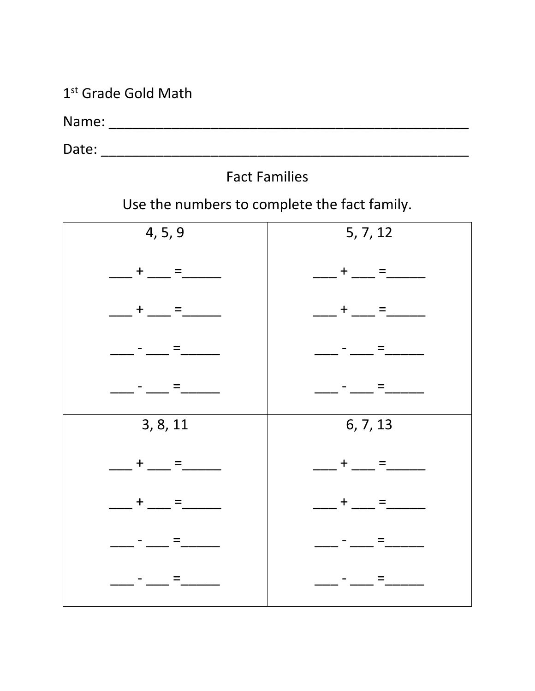1<sup>st</sup> Grade Gold Math

# **Fact Families**

Use the numbers to complete the fact family.

| 4, 5, 9           | 5, 7, 12               |
|-------------------|------------------------|
| $+$ $=$ $-$       | $+$ __<br>$=$          |
| $+$ $-$<br>$=$    | $+$ __<br>Ξ            |
| $=$               |                        |
| $=$               |                        |
| 3, 8, 11          | 6, 7, 13               |
| $+$ $-$<br>$=$    | $+$ __<br>$=$          |
| $\ddagger$<br>$=$ | $\ddagger$<br>$\equiv$ |
| $=$               |                        |
| $=$<br>___ - __ _ | and the state of       |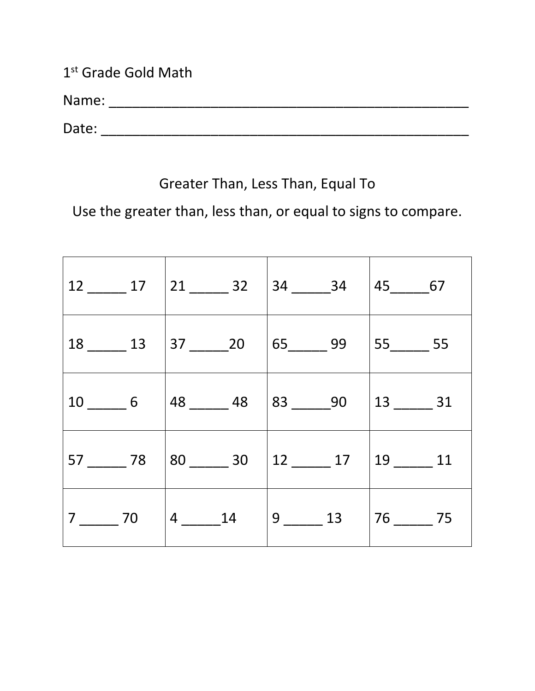1st Grade Gold Math

Name: \_\_\_\_\_\_\_\_\_\_\_\_\_\_\_\_\_\_\_\_\_\_\_\_\_\_\_\_\_\_\_\_\_\_\_\_\_\_\_\_\_\_\_\_\_\_

Date: \_\_\_\_\_\_\_\_\_\_\_\_\_\_\_\_\_\_\_\_\_\_\_\_\_\_\_\_\_\_\_\_\_\_\_\_\_\_\_\_\_\_\_\_\_\_\_

# Greater Than, Less Than, Equal To

Use the greater than, less than, or equal to signs to compare.

|                                 | $12$ ________ 17   21 _______ 32   34 ______ 34   45 ______ 67    |                                                                  |  |
|---------------------------------|-------------------------------------------------------------------|------------------------------------------------------------------|--|
|                                 | $18$ ________ 13   37 _______ 20   65 ______ 99   55 _______ 55   |                                                                  |  |
| $10$ 6                          | $\mid$ 48 _________ 48                                            | $ 83 \_\_\_90\ 13 \_\_\_\_31$                                    |  |
|                                 | $57$ _________ 78   80 _______ 30   12 _______ 17   19 _______ 11 |                                                                  |  |
| $7 \underline{\hspace{1cm}} 70$ | $ 4 \quad 14$                                                     | $9 \underline{\hspace{1cm}} 13$ $76 \underline{\hspace{1cm}} 75$ |  |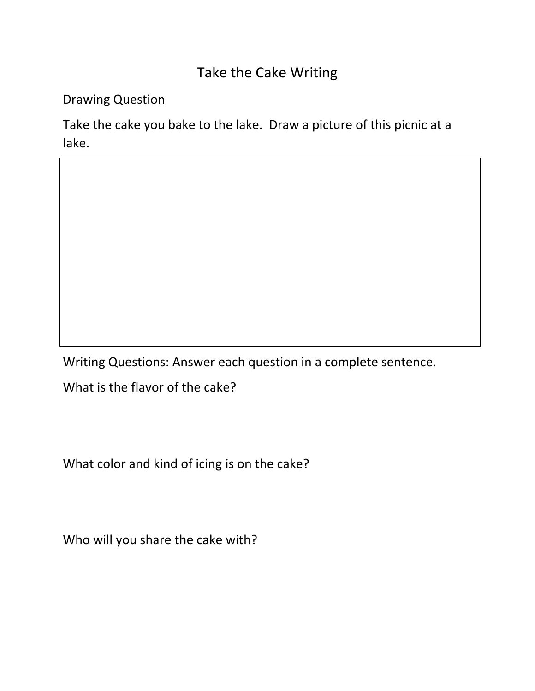## Take the Cake Writing

Drawing Question

Take the cake you bake to the lake. Draw a picture of this picnic at a lake.

Writing Questions: Answer each question in a complete sentence.

What is the flavor of the cake?

What color and kind of icing is on the cake?

Who will you share the cake with?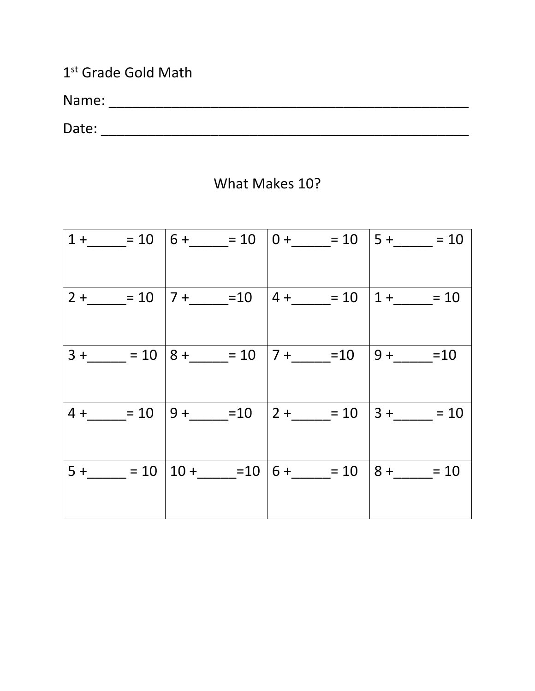1<sup>st</sup> Grade Gold Math

### What Makes 10?

<u> 1989 - Johann Barn, mars ann an t-Amhain ann an t-Amhain an t-Amhain ann an t-Amhain an t-Amhain ann an t-Amh</u>

|          | $1 +$ = 10   6 + = 10   0 + = 10   5 + = 10 = 10 |               |
|----------|--------------------------------------------------|---------------|
|          | $2+ = 10$   $7+ = 10$   $4+ = 10$                | $1 +$ = 10    |
| $3 + 10$ | $8 +$ = 10   7 + _ = 10                          | $ 9+$ = $10$  |
| $4 + 10$ | $9 +$ $    10$ $2 +$ $   10$                     | $ 3 +$ = 10   |
| $5 + 10$ | $10 +$ $ -10$   6 $+$ $  =$ 10                   | $8 + \_ = 10$ |